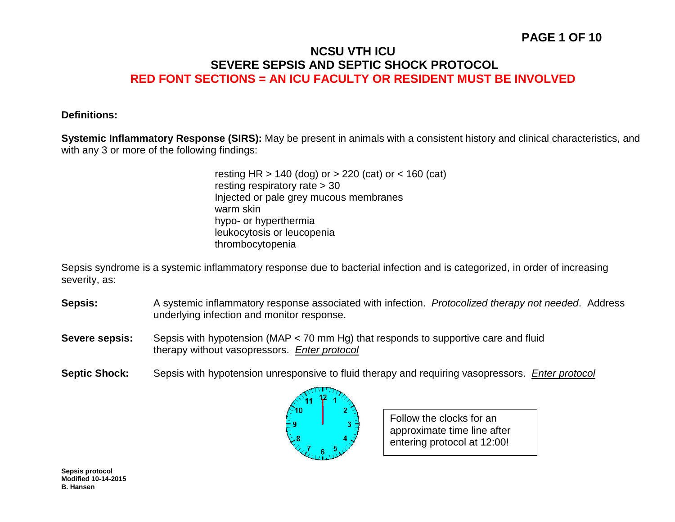## **PAGE 1 OF 10**

## **NCSU VTH ICU SEVERE SEPSIS AND SEPTIC SHOCK PROTOCOL RED FONT SECTIONS = AN ICU FACULTY OR RESIDENT MUST BE INVOLVED**

#### **Definitions:**

**Systemic Inflammatory Response (SIRS):** May be present in animals with a consistent history and clinical characteristics, and with any 3 or more of the following findings:

> resting HR > 140 (dog) or > 220 (cat) or < 160 (cat) resting respiratory rate > 30 Injected or pale grey mucous membranes warm skin hypo- or hyperthermia leukocytosis or leucopenia thrombocytopenia

Sepsis syndrome is a systemic inflammatory response due to bacterial infection and is categorized, in order of increasing severity, as:

- **Sepsis:** A systemic inflammatory response associated with infection. *Protocolized therapy not needed*. Address underlying infection and monitor response.
- **Severe sepsis:** Sepsis with hypotension (MAP < 70 mm Hg) that responds to supportive care and fluid therapy without vasopressors. *Enter protocol*
- **Septic Shock:** Sepsis with hypotension unresponsive to fluid therapy and requiring vasopressors. *Enter protocol*



Follow the clocks for an approximate time line after entering protocol at 12:00!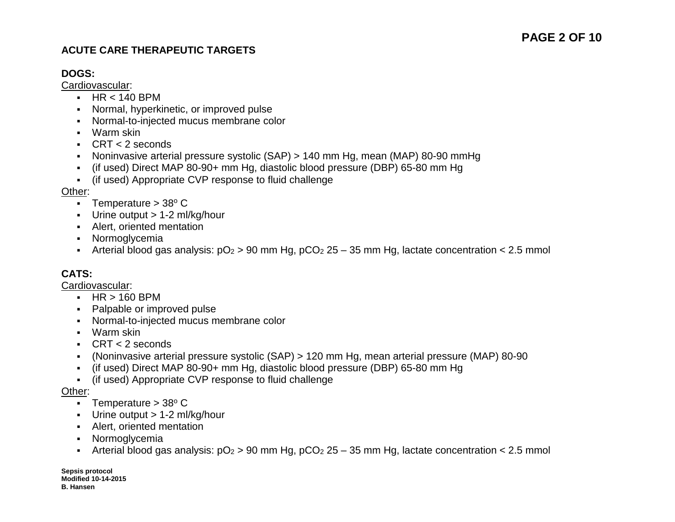## **ACUTE CARE THERAPEUTIC TARGETS**

### **DOGS:**

Cardiovascular:

- $-HR < 140$  BPM
- Normal, hyperkinetic, or improved pulse
- Normal-to-injected mucus membrane color
- Warm skin
- $\text{CRT} < 2$  seconds
- Noninvasive arterial pressure systolic (SAP) > 140 mm Hg, mean (MAP) 80-90 mmHg
- (if used) Direct MAP 80-90+ mm Hg, diastolic blood pressure (DBP) 65-80 mm Hg
- (if used) Appropriate CVP response to fluid challenge

#### Other:

- **Temperature > 38** $^{\circ}$  **C**
- Urine output > 1-2 ml/kg/hour
- Alert, oriented mentation
- Normoglycemia
- Arterial blood gas analysis:  $pO_2 > 90$  mm Hg,  $pCO_2$  25 35 mm Hg, lactate concentration < 2.5 mmol

## **CATS:**

Cardiovascular:

- $-HR > 160$  BPM
- Palpable or improved pulse
- Normal-to-injected mucus membrane color
- Warm skin
- CRT < 2 seconds
- (Noninvasive arterial pressure systolic (SAP) > 120 mm Hg, mean arterial pressure (MAP) 80-90
- (if used) Direct MAP 80-90+ mm Hg, diastolic blood pressure (DBP) 65-80 mm Hg
- (if used) Appropriate CVP response to fluid challenge

#### Other:

- **Temperature > 38** $^{\circ}$  **C**
- Urine output > 1-2 ml/kg/hour
- Alert, oriented mentation
- **-** Normoglycemia
- Arterial blood gas analysis:  $pO_2 > 90$  mm Hg,  $pCO_2$  25 35 mm Hg, lactate concentration < 2.5 mmol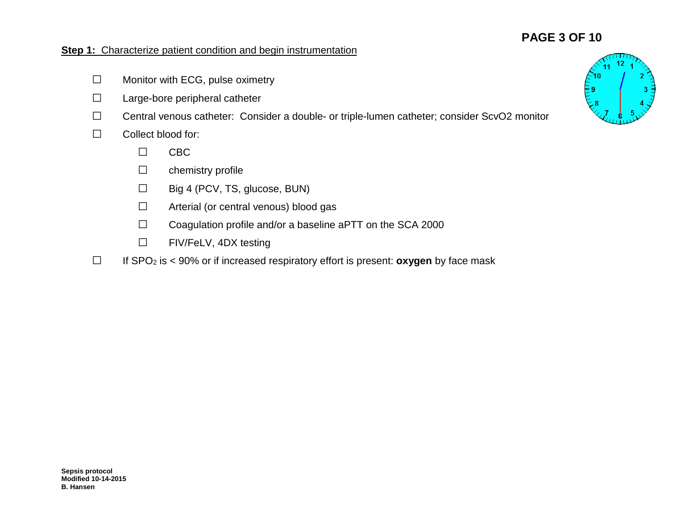## **PAGE 3 OF 10**

## **Step 1:** Characterize patient condition and begin instrumentation

- **□** Monitor with ECG, pulse oximetry
- **□** Large-bore peripheral catheter
- **□** Central venous catheter: Consider a double- or triple-lumen catheter; consider ScvO2 monitor
- **□** Collect blood for:
	- **□** CBC
	- **□** chemistry profile
	- **□** Big 4 (PCV, TS, glucose, BUN)
	- **□** Arterial (or central venous) blood gas
	- **□** Coagulation profile and/or a baseline aPTT on the SCA 2000
	- **□** FIV/FeLV, 4DX testing
- **□** If SPO2 is < 90% or if increased respiratory effort is present: **oxygen** by face mask

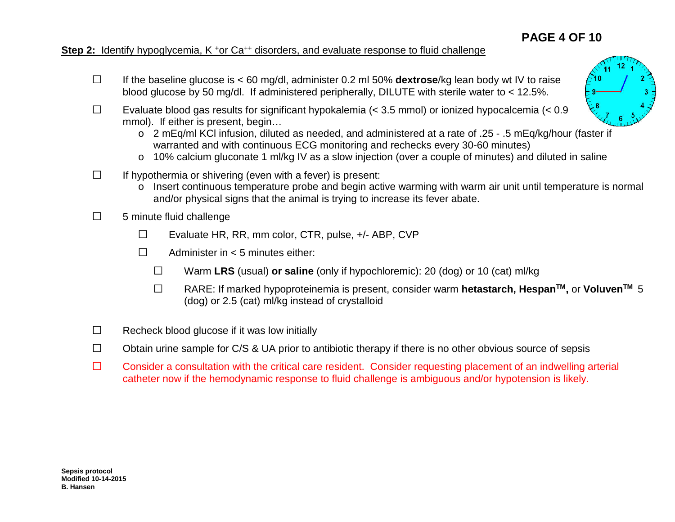# **PAGE 4 OF 10**

## **Step 2:** Identify hypoglycemia, K <sup>+</sup>or Ca<sup>++</sup> disorders, and evaluate response to fluid challenge

- **□** If the baseline glucose is < 60 mg/dl, administer 0.2 ml 50% **dextrose**/kg lean body wt IV to raise blood glucose by 50 mg/dl. If administered peripherally, DILUTE with sterile water to < 12.5%.
- **□** Evaluate blood gas results for significant hypokalemia (< 3.5 mmol) or ionized hypocalcemia (< 0.9 mmol). If either is present, begin…
	- o 2 mEq/ml KCl infusion, diluted as needed, and administered at a rate of .25 .5 mEq/kg/hour (faster if warranted and with continuous ECG monitoring and rechecks every 30-60 minutes)
	- o 10% calcium gluconate 1 ml/kg IV as a slow injection (over a couple of minutes) and diluted in saline
- **□** If hypothermia or shivering (even with a fever) is present:
	- o Insert continuous temperature probe and begin active warming with warm air unit until temperature is normal and/or physical signs that the animal is trying to increase its fever abate.
- **□** 5 minute fluid challenge
	- **□** Evaluate HR, RR, mm color, CTR, pulse, +/- ABP, CVP
	- **□** Administer in < 5 minutes either:
		- **□** Warm **LRS** (usual) **or saline** (only if hypochloremic): 20 (dog) or 10 (cat) ml/kg
		- **□** RARE: If marked hypoproteinemia is present, consider warm **hetastarch, HespanTM,** or **VoluvenTM** <sup>5</sup> (dog) or 2.5 (cat) ml/kg instead of crystalloid
- **□** Recheck blood glucose if it was low initially
- **□** Obtain urine sample for C/S & UA prior to antibiotic therapy if there is no other obvious source of sepsis
- **□** Consider a consultation with the critical care resident. Consider requesting placement of an indwelling arterial catheter now if the hemodynamic response to fluid challenge is ambiguous and/or hypotension is likely.

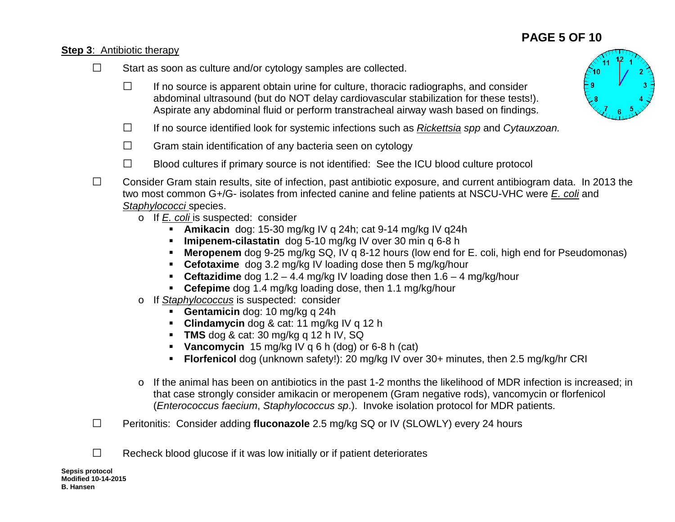# **PAGE 5 OF 10**

## **Step 3**: Antibiotic therapy

- **□** Start as soon as culture and/or cytology samples are collected.
	- **□** If no source is apparent obtain urine for culture, thoracic radiographs, and consider abdominal ultrasound (but do NOT delay cardiovascular stabilization for these tests!). Aspirate any abdominal fluid or perform transtracheal airway wash based on findings.
	- **□** If no source identified look for systemic infections such as *Rickettsia spp* and *Cytauxzoan.*
	- **□** Gram stain identification of any bacteria seen on cytology
	- **□** Blood cultures if primary source is not identified: See the ICU blood culture protocol
- **□** Consider Gram stain results, site of infection, past antibiotic exposure, and current antibiogram data. In 2013 the two most common G+/G- isolates from infected canine and feline patients at NSCU-VHC were *E. coli* and *Staphylococci* species.
	- o If *E. coli* is suspected: consider
		- **Amikacin** dog: 15-30 mg/kg IV q 24h; cat 9-14 mg/kg IV q24h
		- **Imipenem-cilastatin** dog 5-10 mg/kg IV over 30 min q 6-8 h
		- **Meropenem** dog 9-25 mg/kg SQ, IV q 8-12 hours (low end for E. coli, high end for Pseudomonas)
		- **Cefotaxime** dog 3.2 mg/kg IV loading dose then 5 mg/kg/hour
		- **Ceftazidime** dog 1.2 4.4 mg/kg IV loading dose then 1.6 4 mg/kg/hour
		- **Cefepime** dog 1.4 mg/kg loading dose, then 1.1 mg/kg/hour
	- o If *Staphylococcus* is suspected: consider
		- **Gentamicin** dog: 10 mg/kg q 24h
		- **Clindamycin** dog & cat: 11 mg/kg IV q 12 h
		- **TMS** dog & cat: 30 mg/kg q 12 h IV, SQ
		- **Vancomycin** 15 mg/kg IV q 6 h (dog) or 6-8 h (cat)
		- **Florfenicol** dog (unknown safety!): 20 mg/kg IV over 30+ minutes, then 2.5 mg/kg/hr CRI
	- o If the animal has been on antibiotics in the past 1-2 months the likelihood of MDR infection is increased; in that case strongly consider amikacin or meropenem (Gram negative rods), vancomycin or florfenicol (*Enterococcus faecium*, *Staphylococcus sp*.). Invoke isolation protocol for MDR patients.
- **□** Peritonitis: Consider adding **fluconazole** 2.5 mg/kg SQ or IV (SLOWLY) every 24 hours
- **□** Recheck blood glucose if it was low initially or if patient deteriorates

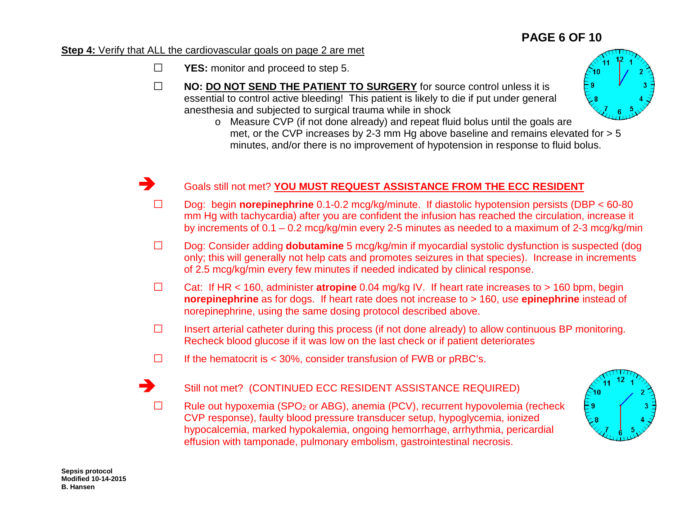# **PAGE 6 OF 10**

#### **Step 4:** Verify that ALL the cardiovascular goals on page 2 are met

- **□ YES:** monitor and proceed to step 5.
- **□ NO: DO NOT SEND THE PATIENT TO SURGERY** for source control unless it is essential to control active bleeding! This patient is likely to die if put under general anesthesia and subjected to surgical trauma while in shock



## Goals still not met? **YOU MUST REQUEST ASSISTANCE FROM THE ECC RESIDENT**

- **□** Dog: begin **norepinephrine** 0.1-0.2 mcg/kg/minute. If diastolic hypotension persists (DBP < 60-80 mm Hg with tachycardia) after you are confident the infusion has reached the circulation, increase it by increments of 0.1 – 0.2 mcg/kg/min every 2-5 minutes as needed to a maximum of 2-3 mcg/kg/min
- **□** Dog: Consider adding **dobutamine** <sup>5</sup> mcg/kg/min if myocardial systolic dysfunction is suspected (dog only; this will generally not help cats and promotes seizures in that species). Increase in increments of 2.5 mcg/kg/min every few minutes if needed indicated by clinical response.
- **□** Cat: If HR < 160, administer **atropine** 0.04 mg/kg IV. If heart rate increases to > 160 bpm, begin **norepinephrine** as for dogs. If heart rate does not increase to > 160, use **epinephrine** instead of norepinephrine, using the same dosing protocol described above.
- **□** Insert arterial catheter during this process (if not done already) to allow continuous BP monitoring. Recheck blood glucose if it was low on the last check or if patient deteriorates
- **□** If the hematocrit is < 30%, consider transfusion of FWB or pRBC's.

## Still not met? (CONTINUED ECC RESIDENT ASSISTANCE REQUIRED)

**□** Rule out hypoxemia (SPO2 or ABG), anemia (PCV), recurrent hypovolemia (recheck CVP response), faulty blood pressure transducer setup, hypoglycemia, ionized hypocalcemia, marked hypokalemia, ongoing hemorrhage, arrhythmia, pericardial effusion with tamponade, pulmonary embolism, gastrointestinal necrosis.

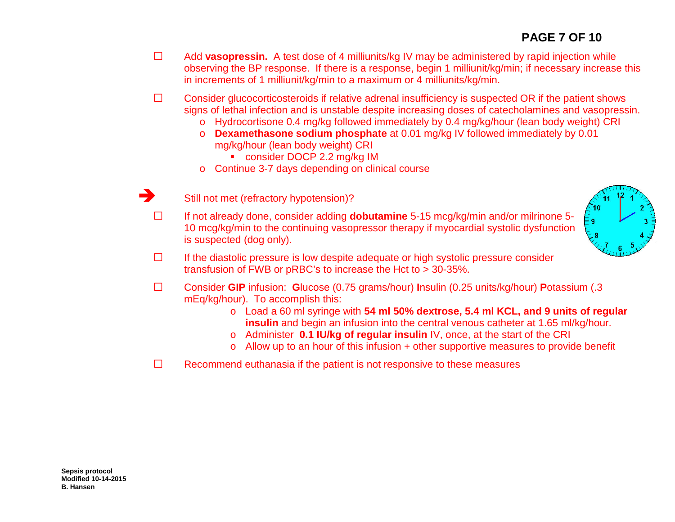- **□** Add **vasopressin.** A test dose of 4 milliunits/kg IV may be administered by rapid injection while observing the BP response. If there is a response, begin 1 milliunit/kg/min; if necessary increase this in increments of 1 milliunit/kg/min to a maximum or 4 milliunits/kg/min.
- **□** Consider glucocorticosteroids if relative adrenal insufficiency is suspected OR if the patient shows signs of lethal infection and is unstable despite increasing doses of catecholamines and vasopressin.
	- o Hydrocortisone 0.4 mg/kg followed immediately by 0.4 mg/kg/hour (lean body weight) CRI
	- o **Dexamethasone sodium phosphate** at 0.01 mg/kg IV followed immediately by 0.01 mg/kg/hour (lean body weight) CRI
		- **CONSIDER DOCP 2.2 mg/kg IM**
	- o Continue 3-7 days depending on clinical course



**□** If not already done, consider adding **dobutamine** 5-15 mcg/kg/min and/or milrinone 5- 10 mcg/kg/min to the continuing vasopressor therapy if myocardial systolic dysfunction is suspected (dog only).



- **□** If the diastolic pressure is low despite adequate or high systolic pressure consider transfusion of FWB or pRBC's to increase the Hct to > 30-35%.
- **□** Consider **GIP** infusion: **G**lucose (0.75 grams/hour) **I**nsulin (0.25 units/kg/hour) **P**otassium (.3 mEq/kg/hour). To accomplish this:
	- o Load a 60 ml syringe with **54 ml 50% dextrose, 5.4 ml KCL, and 9 units of regular insulin** and begin an infusion into the central venous catheter at 1.65 ml/kg/hour.
	- o Administer **0.1 IU/kg of regular insulin** IV, once, at the start of the CRI
	- o Allow up to an hour of this infusion + other supportive measures to provide benefit
- **□** Recommend euthanasia if the patient is not responsive to these measures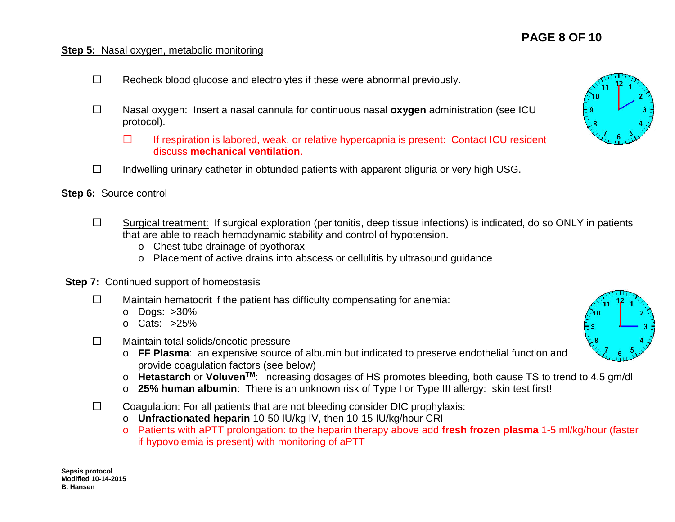## **Step 5:** Nasal oxygen, metabolic monitoring

- **□** Recheck blood glucose and electrolytes if these were abnormal previously.
- **□** Nasal oxygen: Insert a nasal cannula for continuous nasal **oxygen** administration (see ICU protocol).
	- **□** If respiration is labored, weak, or relative hypercapnia is present: Contact ICU resident discuss **mechanical ventilation**.
- **□** Indwelling urinary catheter in obtunded patients with apparent oliguria or very high USG.

### **Step 6:** Source control

- **□** Surgical treatment: If surgical exploration (peritonitis, deep tissue infections) is indicated, do so ONLY in patients that are able to reach hemodynamic stability and control of hypotension.
	- o Chest tube drainage of pyothorax
	- o Placement of active drains into abscess or cellulitis by ultrasound guidance

### **Step 7:** Continued support of homeostasis

- **□** Maintain hematocrit if the patient has difficulty compensating for anemia:
	- o Dogs: >30%
	- o Cats: >25%
- **□** Maintain total solids/oncotic pressure
	- o **FF Plasma**: an expensive source of albumin but indicated to preserve endothelial function and provide coagulation factors (see below)
	- o **Hetastarch** or **VoluvenTM**: increasing dosages of HS promotes bleeding, both cause TS to trend to 4.5 gm/dl
	- o **25% human albumin**: There is an unknown risk of Type I or Type III allergy: skin test first!
- **□** Coagulation: For all patients that are not bleeding consider DIC prophylaxis:
	- o **Unfractionated heparin** 10-50 IU/kg IV, then 10-15 IU/kg/hour CRI
	- o Patients with aPTT prolongation: to the heparin therapy above add **fresh frozen plasma** 1-5 ml/kg/hour (faster if hypovolemia is present) with monitoring of aPTT



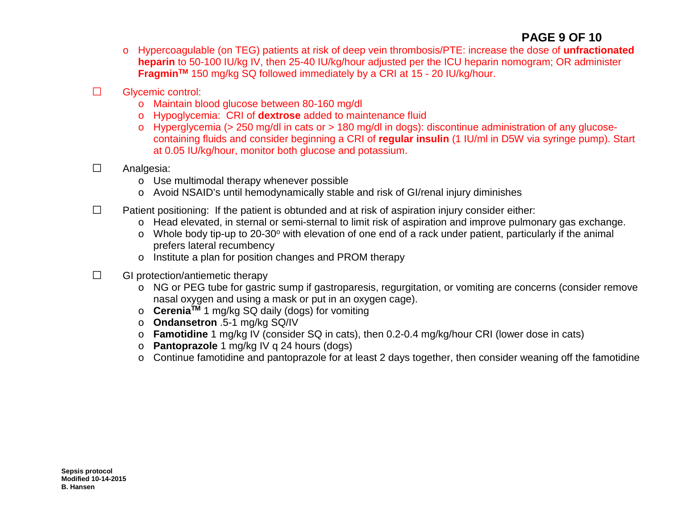## **PAGE 9 OF 10**

- o Hypercoagulable (on TEG) patients at risk of deep vein thrombosis/PTE: increase the dose of **unfractionated heparin** to 50-100 IU/kg IV, then 25-40 IU/kg/hour adjusted per the ICU heparin nomogram; OR administer **FragminTM** 150 mg/kg SQ followed immediately by a CRI at 15 - 20 IU/kg/hour.
- **□** Glycemic control:
	- o Maintain blood glucose between 80-160 mg/dl
	- o Hypoglycemia: CRI of **dextrose** added to maintenance fluid
	- o Hyperglycemia (> 250 mg/dl in cats or > 180 mg/dl in dogs): discontinue administration of any glucosecontaining fluids and consider beginning a CRI of **regular insulin** (1 IU/ml in D5W via syringe pump). Start at 0.05 IU/kg/hour, monitor both glucose and potassium.
- **□** Analgesia:
	- o Use multimodal therapy whenever possible
	- o Avoid NSAID's until hemodynamically stable and risk of GI/renal injury diminishes
- **□** Patient positioning: If the patient is obtunded and at risk of aspiration injury consider either:
	- o Head elevated, in sternal or semi-sternal to limit risk of aspiration and improve pulmonary gas exchange.
	- $\circ$  Whole body tip-up to 20-30 $\circ$  with elevation of one end of a rack under patient, particularly if the animal prefers lateral recumbency
	- o Institute a plan for position changes and PROM therapy
- **□** GI protection/antiemetic therapy
	- o NG or PEG tube for gastric sump if gastroparesis, regurgitation, or vomiting are concerns (consider remove nasal oxygen and using a mask or put in an oxygen cage).
	- o **CereniaTM** 1 mg/kg SQ daily (dogs) for vomiting
	- o **Ondansetron** .5-1 mg/kg SQ/IV
	- o **Famotidine** 1 mg/kg IV (consider SQ in cats), then 0.2-0.4 mg/kg/hour CRI (lower dose in cats)
	- o **Pantoprazole** 1 mg/kg IV q 24 hours (dogs)
	- o Continue famotidine and pantoprazole for at least 2 days together, then consider weaning off the famotidine